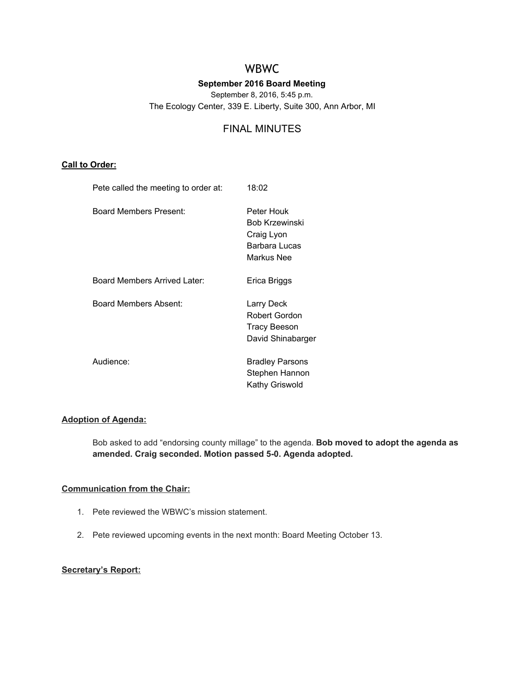# WBWC

# **September 2016 Board Meeting**

September 8, 2016, 5:45 p.m.

The Ecology Center, 339 E. Liberty, Suite 300, Ann Arbor, MI

# FINAL MINUTES

# **Call to Order:**

| Pete called the meeting to order at: | 18:02                                                                     |
|--------------------------------------|---------------------------------------------------------------------------|
| Board Members Present:               | Peter Houk<br>Bob Krzewinski<br>Craig Lyon<br>Barbara Lucas<br>Markus Nee |
| Board Members Arrived Later:         | Erica Briggs                                                              |
| Board Members Absent:                | Larry Deck<br>Robert Gordon<br><b>Tracy Beeson</b><br>David Shinabarger   |
| Audience:                            | <b>Bradley Parsons</b><br>Stephen Hannon<br>Kathy Griswold                |

# **Adoption of Agenda:**

Bob asked to add "endorsing county millage" to the agenda. **Bob moved to adopt the agenda as amended. Craig seconded. Motion passed 5-0. Agenda adopted.**

# **Communication from the Chair:**

- 1. Pete reviewed the WBWC's mission statement.
- 2. Pete reviewed upcoming events in the next month: Board Meeting October 13.

# **Secretary's Report:**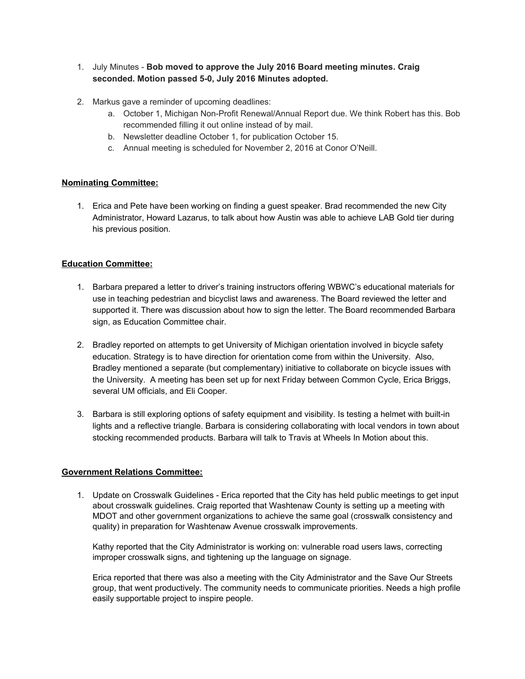- 1. July Minutes **Bob moved to approve the July 2016 Board meeting minutes. Craig seconded. Motion passed 5-0, July 2016 Minutes adopted.**
- 2. Markus gave a reminder of upcoming deadlines:
	- a. October 1, Michigan Non-Profit Renewal/Annual Report due. We think Robert has this. Bob recommended filling it out online instead of by mail.
	- b. Newsletter deadline October 1, for publication October 15.
	- c. Annual meeting is scheduled for November 2, 2016 at Conor O'Neill.

# **Nominating Committee:**

1. Erica and Pete have been working on finding a guest speaker. Brad recommended the new City Administrator, Howard Lazarus, to talk about how Austin was able to achieve LAB Gold tier during his previous position.

# **Education Committee:**

- 1. Barbara prepared a letter to driver's training instructors offering WBWC's educational materials for use in teaching pedestrian and bicyclist laws and awareness. The Board reviewed the letter and supported it. There was discussion about how to sign the letter. The Board recommended Barbara sign, as Education Committee chair.
- 2. Bradley reported on attempts to get University of Michigan orientation involved in bicycle safety education. Strategy is to have direction for orientation come from within the University. Also, Bradley mentioned a separate (but complementary) initiative to collaborate on bicycle issues with the University. A meeting has been set up for next Friday between Common Cycle, Erica Briggs, several UM officials, and Eli Cooper.
- 3. Barbara is still exploring options of safety equipment and visibility. Is testing a helmet with built-in lights and a reflective triangle. Barbara is considering collaborating with local vendors in town about stocking recommended products. Barbara will talk to Travis at Wheels In Motion about this.

# **Government Relations Committee:**

1. Update on Crosswalk Guidelines - Erica reported that the City has held public meetings to get input about crosswalk guidelines. Craig reported that Washtenaw County is setting up a meeting with MDOT and other government organizations to achieve the same goal (crosswalk consistency and quality) in preparation for Washtenaw Avenue crosswalk improvements.

Kathy reported that the City Administrator is working on: vulnerable road users laws, correcting improper crosswalk signs, and tightening up the language on signage.

Erica reported that there was also a meeting with the City Administrator and the Save Our Streets group, that went productively. The community needs to communicate priorities. Needs a high profile easily supportable project to inspire people.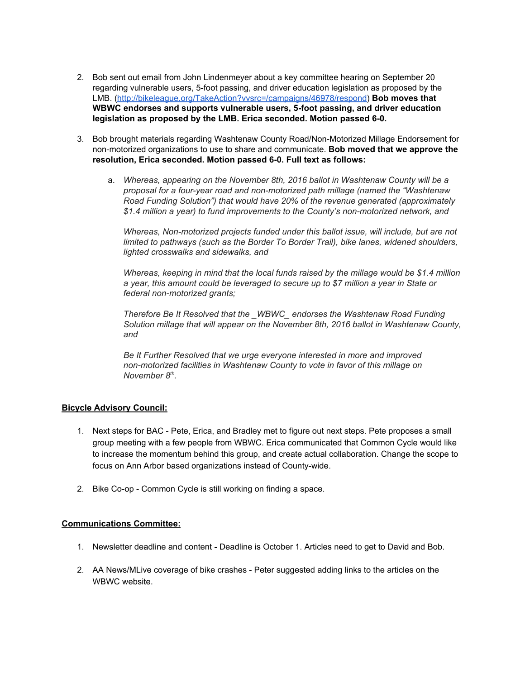- 2. Bob sent out email from John Lindenmeyer about a key committee hearing on September 20 regarding vulnerable users, 5-foot passing, and driver education legislation as proposed by the LMB. [\(http://bikeleague.org/TakeAction?vvsrc=/campaigns/46978/respond](http://bikeleague.org/TakeAction?vvsrc=/campaigns/46978/respond)) **Bob moves that WBWC endorses and supports vulnerable users, 5-foot passing, and driver education legislation as proposed by the LMB. Erica seconded. Motion passed 6-0.**
- 3. Bob brought materials regarding Washtenaw County Road/Non-Motorized Millage Endorsement for non-motorized organizations to use to share and communicate. **Bob moved that we approve the resolution, Erica seconded. Motion passed 6-0. Full text as follows:**
	- a. *Whereas, appearing on the November 8th, 2016 ballot in Washtenaw County will be a proposal for a four-year road and non-motorized path millage (named the "Washtenaw Road Funding Solution") that would have 20% of the revenue generated (approximately \$1.4 million a year) to fund improvements to the County's non-motorized network, and*

*Whereas, Non-motorized projects funded under this ballot issue, will include, but are not limited to pathways (such as the Border To Border Trail), bike lanes, widened shoulders, lighted crosswalks and sidewalks, and*

*Whereas, keeping in mind that the local funds raised by the millage would be \$1.4 million a year, this amount could be leveraged to secure up to \$7 million a year in State or federal non-motorized grants;*

*Therefore Be It Resolved that the \_WBWC\_ endorses the Washtenaw Road Funding Solution millage that will appear on the November 8th, 2016 ballot in Washtenaw County, and*

*Be It Further Resolved that we urge everyone interested in more and improved non-motorized facilities in Washtenaw County to vote in favor of this millage on November 8 th .*

# **Bicycle Advisory Council:**

- 1. Next steps for BAC Pete, Erica, and Bradley met to figure out next steps. Pete proposes a small group meeting with a few people from WBWC. Erica communicated that Common Cycle would like to increase the momentum behind this group, and create actual collaboration. Change the scope to focus on Ann Arbor based organizations instead of County-wide.
- 2. Bike Co-op Common Cycle is still working on finding a space.

#### **Communications Committee:**

- 1. Newsletter deadline and content Deadline is October 1. Articles need to get to David and Bob.
- 2. AA News/MLive coverage of bike crashes Peter suggested adding links to the articles on the WBWC website.